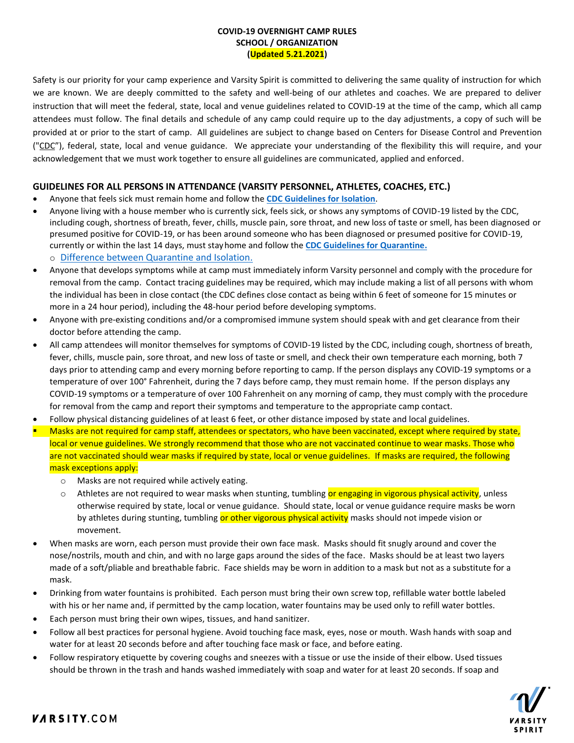## **COVID-19 OVERNIGHT CAMP RULES SCHOOL / ORGANIZATION (Updated 5.21.2021)**

Safety is our priority for your camp experience and Varsity Spirit is committed to delivering the same quality of instruction for which we are known. We are deeply committed to the safety and well-being of our athletes and coaches. We are prepared to deliver instruction that will meet the federal, state, local and venue guidelines related to COVID-19 at the time of the camp, which all camp attendees must follow. The final details and schedule of any camp could require up to the day adjustments, a copy of such will be provided at or prior to the start of camp. All guidelines are subject to change based on Centers for Disease Control and Prevention ("CDC"), federal, state, local and venue guidance. We appreciate your understanding of the flexibility this will require, and your acknowledgement that we must work together to ensure all guidelines are communicated, applied and enforced.

# **GUIDELINES FOR ALL PERSONS IN ATTENDANCE (VARSITY PERSONNEL, ATHLETES, COACHES, ETC.)**

- Anyone that feels sick must remain home and follow the **[CDC Guidelines for Isolation](https://www.cdc.gov/coronavirus/2019-ncov/if-you-are-sick/end-home-isolation.html)**.
- Anyone living with a house member who is currently sick, feels sick, or shows any symptoms of COVID-19 listed by the CDC, including cough, shortness of breath, fever, chills, muscle pain, sore throat, and new loss of taste or smell, has been diagnosed or presumed positive for COVID-19, or has been around someone who has been diagnosed or presumed positive for COVID-19, currently or within the last 14 days, must stayhome and follow the **[CDC Guidelines for Quarantine.](https://www.cdc.gov/coronavirus/2019-ncov/if-you-are-sick/quarantine.html)** o [Difference between Quarantine and Isolation.](https://www.cdc.gov/coronavirus/2019-ncov/downloads/COVID-19-Quarantine-vs-Isolation.pdf)
- Anyone that develops symptoms while at camp must immediately inform Varsity personnel and comply with the procedure for removal from the camp. Contact tracing guidelines may be required, which may include making a list of all persons with whom the individual has been in close contact (the CDC defines close contact as being within 6 feet of someone for 15 minutes or more in a 24 hour period), including the 48-hour period before developing symptoms.
- Anyone with pre-existing conditions and/or a compromised immune system should speak with and get clearance from their doctor before attending the camp.
- All camp attendees will monitor themselves for symptoms of COVID-19 listed by the CDC, including cough, shortness of breath, fever, chills, muscle pain, sore throat, and new loss of taste or smell, and check their own temperature each morning, both 7 days prior to attending camp and every morning before reporting to camp. If the person displays any COVID-19 symptoms or a temperature of over 100° Fahrenheit, during the 7 days before camp, they must remain home. If the person displays any COVID-19 symptoms or a temperature of over 100 Fahrenheit on any morning of camp, they must comply with the procedure for removal from the camp and report their symptoms and temperature to the appropriate camp contact.
- Follow physical distancing guidelines of at least 6 feet, or other distance imposed by state and local guidelines.
- Masks are not required for camp staff, attendees or spectators, who have been vaccinated, except where required by state, local or venue guidelines. We strongly recommend that those who are not vaccinated continue to wear masks. Those who are not vaccinated should wear masks if required by state, local or venue guidelines. If masks are required, the following mask exceptions apply:
	- o Masks are not required while actively eating.
	- o Athletes are not required to wear masks when stunting, tumbling or engaging in vigorous physical activity, unless otherwise required by state, local or venue guidance. Should state, local or venue guidance require masks be worn by athletes during stunting, tumbling or other vigorous physical activity masks should not impede vision or movement.
- When masks are worn, each person must provide their own face mask. Masks should fit snugly around and cover the nose/nostrils, mouth and chin, and with no large gaps around the sides of the face. Masks should be at least two layers made of a soft/pliable and breathable fabric. Face shields may be worn in addition to a mask but not as a substitute for a mask.
- Drinking from water fountains is prohibited. Each person must bring their own screw top, refillable water bottle labeled with his or her name and, if permitted by the camp location, water fountains may be used only to refill water bottles.
- Each person must bring their own wipes, tissues, and hand sanitizer.
- Follow all best practices for personal hygiene. Avoid touching face mask, eyes, nose or mouth. Wash hands with soap and water for at least 20 seconds before and after touching face mask or face, and before eating.
- Follow respiratory etiquette by covering coughs and sneezes with a tissue or use the inside of their elbow. Used tissues should be thrown in the trash and hands washed immediately with soap and water for at least 20 seconds. If soap and

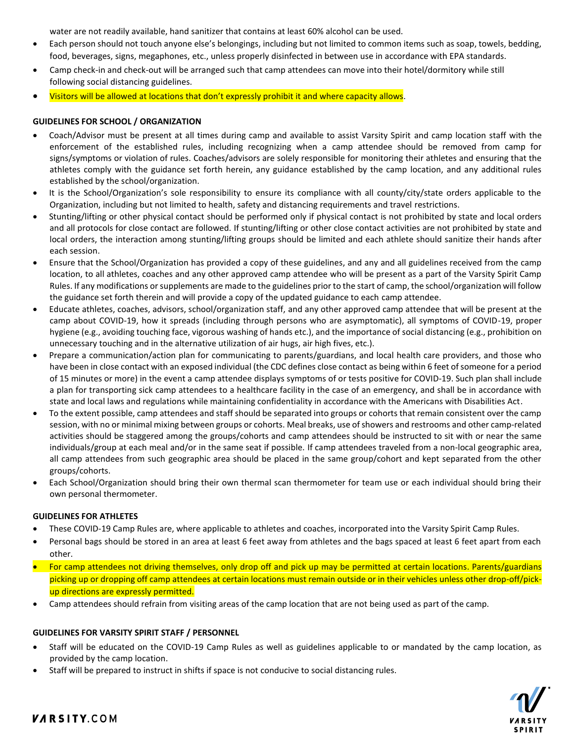water are not readily available, hand sanitizer that contains at least 60% alcohol can be used.

- Each person should not touch anyone else's belongings, including but not limited to common items such as soap, towels, bedding, food, beverages, signs, megaphones, etc., unless properly disinfected in between use in accordance with EPA standards.
- Camp check-in and check-out will be arranged such that camp attendees can move into their hotel/dormitory while still following social distancing guidelines.
- Visitors will be allowed at locations that don't expressly prohibit it and where capacity allows.

### **GUIDELINES FOR SCHOOL / ORGANIZATION**

- Coach/Advisor must be present at all times during camp and available to assist Varsity Spirit and camp location staff with the enforcement of the established rules, including recognizing when a camp attendee should be removed from camp for signs/symptoms or violation of rules. Coaches/advisors are solely responsible for monitoring their athletes and ensuring that the athletes comply with the guidance set forth herein, any guidance established by the camp location, and any additional rules established by the school/organization.
- It is the School/Organization's sole responsibility to ensure its compliance with all county/city/state orders applicable to the Organization, including but not limited to health, safety and distancing requirements and travel restrictions.
- Stunting/lifting or other physical contact should be performed only if physical contact is not prohibited by state and local orders and all protocols for close contact are followed. If stunting/lifting or other close contact activities are not prohibited by state and local orders, the interaction among stunting/lifting groups should be limited and each athlete should sanitize their hands after each session.
- Ensure that the School/Organization has provided a copy of these guidelines, and any and all guidelines received from the camp location, to all athletes, coaches and any other approved camp attendee who will be present as a part of the Varsity Spirit Camp Rules. If any modifications or supplements are made to the guidelines prior to the start of camp, the school/organization will follow the guidance set forth therein and will provide a copy of the updated guidance to each camp attendee.
- Educate athletes, coaches, advisors, school/organization staff, and any other approved camp attendee that will be present at the camp about COVID-19, how it spreads (including through persons who are asymptomatic), all symptoms of COVID-19, proper hygiene (e.g., avoiding touching face, vigorous washing of hands etc.), and the importance of social distancing (e.g., prohibition on unnecessary touching and in the alternative utilization of air hugs, air high fives, etc.).
- Prepare a communication/action plan for communicating to parents/guardians, and local health care providers, and those who have been in close contact with an exposed individual (the CDC defines close contact as being within 6 feet of someone for a period of 15 minutes or more) in the event a camp attendee displays symptoms of or tests positive for COVID-19. Such plan shall include a plan for transporting sick camp attendees to a healthcare facility in the case of an emergency, and shall be in accordance with state and local laws and regulations while maintaining confidentiality in accordance with the Americans with Disabilities Act.
- To the extent possible, camp attendees and staff should be separated into groups or cohorts that remain consistent over the camp session, with no or minimal mixing between groups or cohorts. Meal breaks, use of showers and restrooms and other camp-related activities should be staggered among the groups/cohorts and camp attendees should be instructed to sit with or near the same individuals/group at each meal and/or in the same seat if possible. If camp attendees traveled from a non-local geographic area, all camp attendees from such geographic area should be placed in the same group/cohort and kept separated from the other groups/cohorts.
- Each School/Organization should bring their own thermal scan thermometer for team use or each individual should bring their own personal thermometer.

#### **GUIDELINES FOR ATHLETES**

- These COVID-19 Camp Rules are, where applicable to athletes and coaches, incorporated into the Varsity Spirit Camp Rules.
- Personal bags should be stored in an area at least 6 feet away from athletes and the bags spaced at least 6 feet apart from each other.
- For camp attendees not driving themselves, only drop off and pick up may be permitted at certain locations. Parents/guardians picking up or dropping off camp attendees at certain locations must remain outside or in their vehicles unless other drop-off/pickup directions are expressly permitted.
- Camp attendees should refrain from visiting areas of the camp location that are not being used as part of the camp.

### **GUIDELINES FOR VARSITY SPIRIT STAFF / PERSONNEL**

- Staff will be educated on the COVID-19 Camp Rules as well as guidelines applicable to or mandated by the camp location, as provided by the camp location.
- Staff will be prepared to instruct in shifts if space is not conducive to social distancing rules.